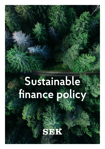# **Sustainable finance policy**

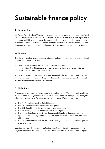# **Sustainable finance policy**

# **1. Introduction**

AB Svensk Exportkredit's (SEK) mission is to ensure access to financial solutions for the Swedish export industry on commercial and sustainable terms. Sustainability is a central part of our operations and SEK, as a state-owned company, shall serve as a role model for corporate sustainability. This means that our operations should be conducted in a sustainable manner from an economic, environmental and social perspective that promotes sustainable development.

# **2. Purpose**

The aim of this policy is to set out basic principles and positions for credit granting and liquidity investments, in order for SEK to:

- » serve as a role model in the area of sustainable finance, and
- » monitor international initiatives and guidelines that are aimed at achieving sustainable development and corporate sustainability.

This policy is part of SEK's sustainable finance framework. The positions and principles specified here are operationalized in other policy documents, guidance and methods for compliance with the principles in day-to-day activities.

# **3. Definitions**

Sustainable terms means that projects and activities financed by SEK comply with local laws as well as international guidelines in the areas of environment, anti-corruption, human rights, labor and business ethics. The international guidelines that SEK incorporates are:

- » The Ten Principles of the UN Global Compact,
- » The OECD Guidelines for Multinational Enterprises,
- » The OECD Anti-Bribery Convention and related documents,
- » The UN Guiding Principles on Business and Human Rights,
- » The Equator Principles, or the OECD Recommendation of the Council on Common Approaches for Officially Supported Export Credits and Environmental and Social Due Diligence, and
- » The OECD Recommendation on Sustainable Lending Practices and Officially Supported Exports Credits.

Sustainability risk is the risk that SEK's lending operations or liquidity investments have a negative direct or indirect effect on their environment in the areas of ethics, anti-corruption,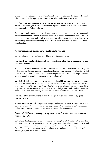environment and climate, human rights or labor. Human rights include the rights of the child, labor includes gender equality and diversity, and ethics include tax transparency.

ESG factors are environmental, social and governance-related factors that could potentially have a positive or negative effect on the financial position or solvency of SEK's counterparties and, ultimately, SEK's financial risks.

Green, social and sustainability-linked loans refer to the granting of credit to environmentally sustainable economic activities as defined in the EU Taxonomy and the Loan Market Association's guidance on green and social loans, as well as working capital linked to the borrower's sustainability performance according to the Loan Market Association's Sustainability Linked Loan Principles.

# **4. Principles and positions for sustainable finance**

SEK has adopted ten principles and positions for sustainable finance.

#### **Principle 1: SEK shall participate in transactions that are handled in a responsible and sustainable manner.**

The lending activities conducted by SEK may entail indirect sustainability risks. To manage and reduce the risks, lending must, as a general principle, be based on sustainable loan terms. SEK finances projects and activities in countries with high ESG risks provided the project is deemed to make a positive contribution to sustainable development.

SEK shall refrain from participating in transactions where SEK considers the conditions unacceptable and where SEK is unable to influence the situation positively or if information that is necessary for SEK is not, or is not expected to be, available. In some transactions, conflicts may arise between economic, environmental and social objectives. Such conflicts should be handled to the best of our ability, but with no significant harm to any of the objectives.

#### **Principle 2: SEK's transactions and relationships shall be characterized by good business ethics.**

Trust relationships are built on openness, integrity and ethical behavior. SEK does not accept commercial transactions with a tax avoidance purpose. Where applicable, SEK may request higher tax transparency to ensure the transaction meets the requirements.

#### **Principle 3: SEK does not accept corruption or other financial crime in transactions financed by SEK.**

SEK takes a stand against all forms of corruption and complies with Swedish anti-bribery legislation and international initiatives for combating corruption and other financial crime, as well as anti-corruption laws in the countries and jurisdictions in which SEK operates. Every SEK employee has a personal responsibility to not, either directly or indirectly, offer, promise, give, request or accept a bribe.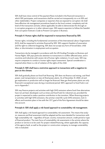SEK shall have close control of the payment flows included in the financial transaction in which SEK participates, and transactions shall be carried out transparently vis-a-vis SEK and other stakeholders. Project companies or exporters that are exposed to corruption risk shall have effective risk-management procedures based on the local context, complexity and risk level of the transaction and also, where applicable, be able to demonstrate this through anti-corruption programs or in other relevant ways. SEK expects exporters to follow the Swedish Anti-corruption Institute's Code to Prevent Corruption in Business.

#### **Principle 4: Human rights shall be respected in transactions financed by SEK.**

Human rights, including the fundamental conventions of the International Labour Organization (ILO), shall be respected in activities financed by SEK. SEK supports freedom of association and the right to collective bargaining. SEK does not accept any form of forced labor, child labor, or discrimination in employment and occupation.

Transactions ska be managed in accordance with the UN Guiding Principles on Business and Human Rights. SEK pays particular attention to transactions in conflict-affected areas, and in countries and industries with severe risk of human rights violations. In such cases, SEK may require companies to conduct a human rights impact assessment. Special consideration is required when there is a risk of violation of the rights of the child.

#### **Principle 5: SEK shall have a restrictive approach to transactions with a negative impact on the climate.**

SEK shall gradually phase out fossil fuel financing. SEK does not finance coal mining, coal-fired power, coal transportation or new oil-fired power plants. As of December 31, 2022, oil and gas exploration or production will no longer be financed. New gas-fired power plants are only financed in exceptional cases during a transitional period. SEK's approach to fossil fuels is set out in Appendix 1.

SEK may finance projects and activities with high GHG emissions where fossil-free alternatives have not yet been developed, such as mines and fossil fuels for industrial use, provided the project is expected to make a positive contribution to the transition. When financing projects or activities with high GHG emissions, the activity's total life-cycle GHG emissions, lock-in effects and transition plans in line with the 1.5°C goal of the Paris Agreement should be taken into account.

#### **Principle 6: SEK shall apply a risk-based approach to sustainability risk management.**

SEK shall apply a risk-based approach to sustainability risk assessment. This means that analysis, measures and final assessment shall be adapted and be more detailed for transactions with high sustainability risk – regardless of buyer, country, transaction amount, credit period or type of financial product. The main focus of sustainability risk assessments is the activity where the product or service is to be used. For project-related financing, where applicable, the capacity of the agency bank, as well as the project or construction company, to manage sustainability risks is evaluated.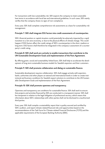For transactions with low sustainability risk, SEK expects the company to meet sustainable loan terms in accordance with local law and international guidelines. In such cases, SEK mainly verifies that the company shows no signs of non-compliance.

Every year, SEK shall complete comprehensive risk assessments as a basis for sustainability risk management.

#### **Principle 7: SEK shall integrate ESG factors into credit assessments of counterparties.**

SEK's financial position or capital situation could potentially be adversely impacted by a rapid transition to a net-zero economy, or due to the physical effects of climate change. This could happen if ESG factors affect the credit ratings of SEK's counterparties in the short, medium or long term. ESG factors shall therefore be integrated in the company's assessment of a counterparty's credit rating.

#### **Principle 8: SEK shall work pro-actively to enable transactions that contribute to the UN Sustainable Development Goals and implementation of the Paris Agreement.**

By offering green, social and sustainability-linked loans, SEK shall help to accelerate the development of long-term sustainable business models for Swedish exporters and their customers.

#### **Principle 9: SEK shall promote collaboration and dialog on sustainable finance.**

Sustainable development requires collaboration. SEK shall engage actively with exporters, banks, authorities and other players at national and international levels in order to create institutional and business conditions for Swedish export solutions to contribute to the UN Sustainable Development Goals and implementation of the Paris Agreement.

#### **Principle 10: SEK shall promote openness and transparency.**

Openness and transparency are conditions for sustainable finance. SEK shall work to ensure that projects and activities financed by SEK are conducted in a transparent manner. SEK shall be transparent in relation to the legal obligation of professional secrecy, which means that information about SEK's relationships with other parties shall not be disclosed to unauthorized third parties.

Every year, SEK shall compile a sustainability report that is quality-assured and certified by SEK's auditors, and report climate-related financial risks and opportunities based on the recommendations of the Task Force for Climate-related Financial Disclosures (TCFD) and the applicable requirements of the European Banking Authority (EBA).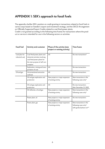# **APPENDIX 1: SEK's approach to fossil fuels**

The appendix clarifies SEK's position on credit granting in transactions related to fossil fuels in various ways based on Sweden's export and investment strategy, and the OECD Arrangement on Officially Supported Export Credits related to coal-fired power plants. Credit is not granted according to the following time frames for transactions where the product or service is intended for use in the following sectors or activities:

| <b>Fossil fuel</b>                | Activity end customer                                                                                                                      | Phase of the activity (new<br>project or existing activity) | <b>Time frame</b>                                                             |
|-----------------------------------|--------------------------------------------------------------------------------------------------------------------------------------------|-------------------------------------------------------------|-------------------------------------------------------------------------------|
| Coal (also for<br>industrial use) | Coal-fired power plants and<br>industrial activities involving<br>coal-fired power plants for<br>the main purpose of self-con-<br>sumption | All                                                         | No new transactions*                                                          |
|                                   | Exploration, mining and trans-<br>portation of coal                                                                                        | All                                                         | No new transactions                                                           |
| Oil and gas                       | Unconventional extraction<br>methods                                                                                                       | All                                                         | No new transactions                                                           |
|                                   | Oil and gas exploration and<br>production                                                                                                  | New projects or major expansion<br>of existing activity     | New transactions in the<br>following cases only*                              |
|                                   | Oil and gas exploration and<br>production                                                                                                  | All                                                         | No new transactions<br>after December 31, 2022                                |
|                                   | Oil refineries, oil and gas                                                                                                                | New projects or major expansion<br>of existing activity     | New transactions in the<br>following cases only*                              |
|                                   | Power plant, oil                                                                                                                           | New projects or major expansion<br>of existing activity     | No new transactions                                                           |
|                                   | Power plant, gas                                                                                                                           | New projects or major expansion<br>of existing activity     | New transactions in the<br>following cases only*,<br>with gradual phase-out** |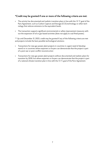### **\*Credit may be granted if one or more of the following criteria are met:**

- » The activity has documented and realistic transition plans in line with the 1.5 °C goal of the Paris Agreement, such as Carbon Capture and Storage (CCS) technology or other technology that reduces emissions to the equivalent levels.
- » The transaction supports significant environmental or safety improvement measures without the expansion of oil or gas-based activities (does not apply to coal-fired power).

\*\* Up until December 31, 2023, credit may be granted if any of the following criteria are met and projects include the best-possible technological solutions:

- » Transactions for new gas-power plant projects in countries in urgent need of development3 or in countries where exporters or buyers can demonstrate that the project is part of a post-war or post-conflict reconstruction
- » Transactions for new gas-power plant projects without documented and realistic plans for transition by 2030, but where exporters or buyers can demonstrate that the project is part of a national climate transition plan in line with the 1.5 °C goal of the Paris Agreement.